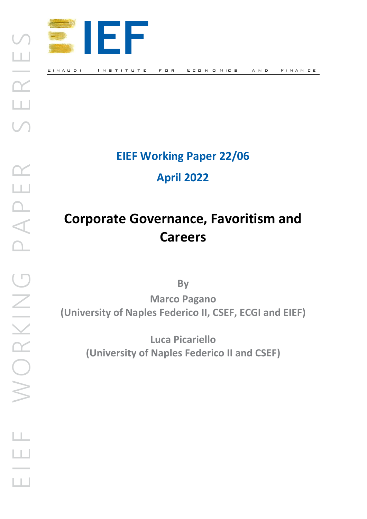

## **EIEF Working Paper 22/06**

**April 2022**

# **Corporate Governance, Favoritism and Careers**

**By**

**Marco Pagano (University of Naples Federico II, CSEF, ECGI and EIEF)**

> **Luca Picariello (University of Naples Federico II and CSEF)**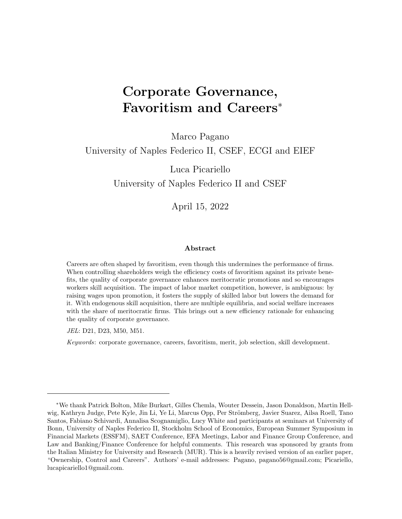## Corporate Governance, Favoritism and Careers<sup>∗</sup>

Marco Pagano

#### University of Naples Federico II, CSEF, ECGI and EIEF

Luca Picariello University of Naples Federico II and CSEF

April 15, 2022

#### Abstract

Careers are often shaped by favoritism, even though this undermines the performance of firms. When controlling shareholders weigh the efficiency costs of favoritism against its private benefits, the quality of corporate governance enhances meritocratic promotions and so encourages workers skill acquisition. The impact of labor market competition, however, is ambiguous: by raising wages upon promotion, it fosters the supply of skilled labor but lowers the demand for it. With endogenous skill acquisition, there are multiple equilibria, and social welfare increases with the share of meritocratic firms. This brings out a new efficiency rationale for enhancing the quality of corporate governance.

JEL: D21, D23, M50, M51.

Keywords: corporate governance, careers, favoritism, merit, job selection, skill development.

<sup>∗</sup>We thank Patrick Bolton, Mike Burkart, Gilles Chemla, Wouter Dessein, Jason Donaldson, Martin Hellwig, Kathryn Judge, Pete Kyle, Jin Li, Ye Li, Marcus Opp, Per Strömberg, Javier Suarez, Ailsa Roell, Tano Santos, Fabiano Schivardi, Annalisa Scognamiglio, Lucy White and participants at seminars at University of Bonn, University of Naples Federico II, Stockholm School of Economics, European Summer Symposium in Financial Markets (ESSFM), SAET Conference, EFA Meetings, Labor and Finance Group Conference, and Law and Banking/Finance Conference for helpful comments. This research was sponsored by grants from the Italian Ministry for University and Research (MUR). This is a heavily revised version of an earlier paper, "Ownership, Control and Careers". Authors' e-mail addresses: Pagano, pagano56@gmail.com; Picariello, lucapicariello1@gmail.com.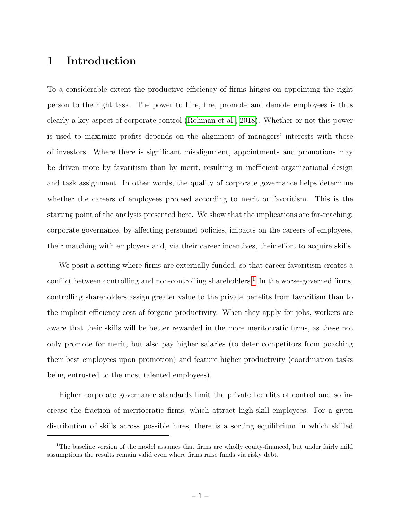### 1 Introduction

To a considerable extent the productive efficiency of firms hinges on appointing the right person to the right task. The power to hire, fire, promote and demote employees is thus clearly a key aspect of corporate control (Rohman et al., 2018). Whether or not this power is used to maximize profits depends on the alignment of managers' interests with those of investors. Where there is significant misalignment, appointments and promotions may be driven more by favoritism than by merit, resulting in inefficient organizational design and task assignment. In other words, the quality of corporate governance helps determine whether the careers of employees proceed according to merit or favoritism. This is the starting point of the analysis presented here. We show that the implications are far-reaching: corporate governance, by affecting personnel policies, impacts on the careers of employees, their matching with employers and, via their career incentives, their effort to acquire skills.

We posit a setting where firms are externally funded, so that career favoritism creates a conflict between controlling and non-controlling shareholders.<sup>1</sup> In the worse-governed firms, controlling shareholders assign greater value to the private benefits from favoritism than to the implicit efficiency cost of forgone productivity. When they apply for jobs, workers are aware that their skills will be better rewarded in the more meritocratic firms, as these not only promote for merit, but also pay higher salaries (to deter competitors from poaching their best employees upon promotion) and feature higher productivity (coordination tasks being entrusted to the most talented employees).

Higher corporate governance standards limit the private benefits of control and so increase the fraction of meritocratic firms, which attract high-skill employees. For a given distribution of skills across possible hires, there is a sorting equilibrium in which skilled

<sup>&</sup>lt;sup>1</sup>The baseline version of the model assumes that firms are wholly equity-financed, but under fairly mild assumptions the results remain valid even where firms raise funds via risky debt.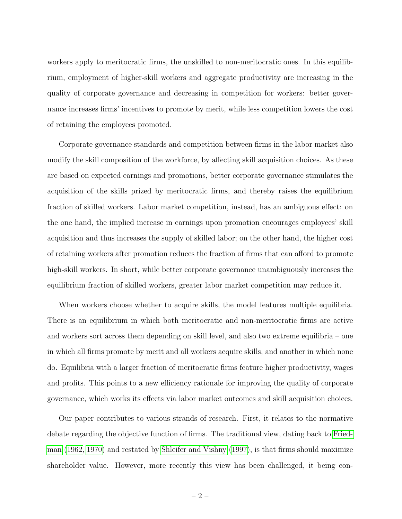workers apply to meritocratic firms, the unskilled to non-meritocratic ones. In this equilibrium, employment of higher-skill workers and aggregate productivity are increasing in the quality of corporate governance and decreasing in competition for workers: better governance increases firms' incentives to promote by merit, while less competition lowers the cost of retaining the employees promoted.

Corporate governance standards and competition between firms in the labor market also modify the skill composition of the workforce, by affecting skill acquisition choices. As these are based on expected earnings and promotions, better corporate governance stimulates the acquisition of the skills prized by meritocratic firms, and thereby raises the equilibrium fraction of skilled workers. Labor market competition, instead, has an ambiguous effect: on the one hand, the implied increase in earnings upon promotion encourages employees' skill acquisition and thus increases the supply of skilled labor; on the other hand, the higher cost of retaining workers after promotion reduces the fraction of firms that can afford to promote high-skill workers. In short, while better corporate governance unambiguously increases the equilibrium fraction of skilled workers, greater labor market competition may reduce it.

When workers choose whether to acquire skills, the model features multiple equilibria. There is an equilibrium in which both meritocratic and non-meritocratic firms are active and workers sort across them depending on skill level, and also two extreme equilibria – one in which all firms promote by merit and all workers acquire skills, and another in which none do. Equilibria with a larger fraction of meritocratic firms feature higher productivity, wages and profits. This points to a new efficiency rationale for improving the quality of corporate governance, which works its effects via labor market outcomes and skill acquisition choices.

Our paper contributes to various strands of research. First, it relates to the normative debate regarding the objective function of firms. The traditional view, dating back to Friedman (1962, 1970) and restated by Shleifer and Vishny (1997), is that firms should maximize shareholder value. However, more recently this view has been challenged, it being con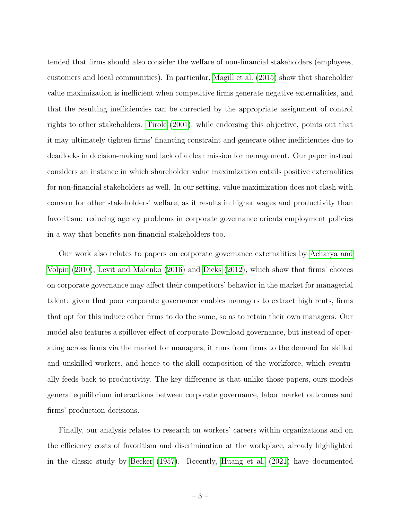tended that firms should also consider the welfare of non-financial stakeholders (employees, customers and local communities). In particular, Magill et al. (2015) show that shareholder value maximization is inefficient when competitive firms generate negative externalities, and that the resulting inefficiencies can be corrected by the appropriate assignment of control rights to other stakeholders. Tirole (2001), while endorsing this objective, points out that it may ultimately tighten firms' financing constraint and generate other inefficiencies due to deadlocks in decision-making and lack of a clear mission for management. Our paper instead considers an instance in which shareholder value maximization entails positive externalities for non-financial stakeholders as well. In our setting, value maximization does not clash with concern for other stakeholders' welfare, as it results in higher wages and productivity than favoritism: reducing agency problems in corporate governance orients employment policies in a way that benefits non-financial stakeholders too.

Our work also relates to papers on corporate governance externalities by Acharya and Volpin (2010), Levit and Malenko (2016) and Dicks (2012), which show that firms' choices on corporate governance may affect their competitors' behavior in the market for managerial talent: given that poor corporate governance enables managers to extract high rents, firms that opt for this induce other firms to do the same, so as to retain their own managers. Our model also features a spillover effect of corporate Download governance, but instead of operating across firms via the market for managers, it runs from firms to the demand for skilled and unskilled workers, and hence to the skill composition of the workforce, which eventually feeds back to productivity. The key difference is that unlike those papers, ours models general equilibrium interactions between corporate governance, labor market outcomes and firms' production decisions.

Finally, our analysis relates to research on workers' careers within organizations and on the efficiency costs of favoritism and discrimination at the workplace, already highlighted in the classic study by Becker (1957). Recently, Huang et al. (2021) have documented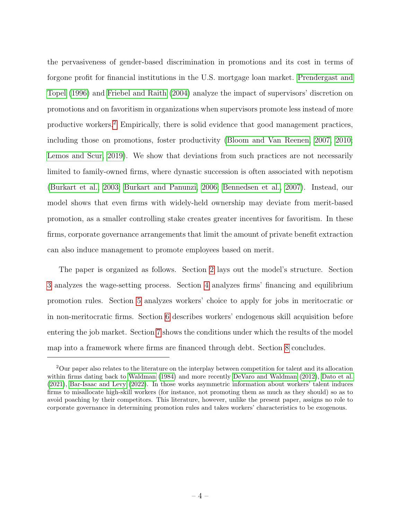the pervasiveness of gender-based discrimination in promotions and its cost in terms of forgone profit for financial institutions in the U.S. mortgage loan market. Prendergast and Topel (1996) and Friebel and Raith (2004) analyze the impact of supervisors' discretion on promotions and on favoritism in organizations when supervisors promote less instead of more productive workers.2 Empirically, there is solid evidence that good management practices, including those on promotions, foster productivity (Bloom and Van Reenen, 2007, 2010; Lemos and Scur, 2019). We show that deviations from such practices are not necessarily limited to family-owned firms, where dynastic succession is often associated with nepotism (Burkart et al., 2003; Burkart and Panunzi, 2006; Bennedsen et al., 2007). Instead, our model shows that even firms with widely-held ownership may deviate from merit-based promotion, as a smaller controlling stake creates greater incentives for favoritism. In these firms, corporate governance arrangements that limit the amount of private benefit extraction can also induce management to promote employees based on merit.

The paper is organized as follows. Section 2 lays out the model's structure. Section 3 analyzes the wage-setting process. Section 4 analyzes firms' financing and equilibrium promotion rules. Section 5 analyzes workers' choice to apply for jobs in meritocratic or in non-meritocratic firms. Section 6 describes workers' endogenous skill acquisition before entering the job market. Section 7 shows the conditions under which the results of the model map into a framework where firms are financed through debt. Section 8 concludes.

<sup>&</sup>lt;sup>2</sup>Our paper also relates to the literature on the interplay between competition for talent and its allocation within firms dating back to Waldman (1984) and more recently DeVaro and Waldman (2012), Dato et al. (2021), Bar-Isaac and Levy (2022). In those works asymmetric information about workers' talent induces firms to misallocate high-skill workers (for instance, not promoting them as much as they should) so as to avoid poaching by their competitors. This literature, however, unlike the present paper, assigns no role to corporate governance in determining promotion rules and takes workers' characteristics to be exogenous.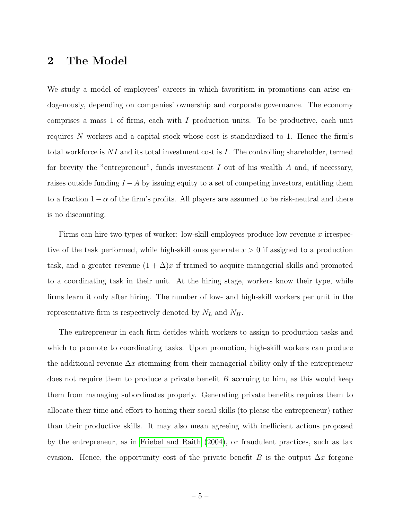## 2 The Model

We study a model of employees' careers in which favoritism in promotions can arise endogenously, depending on companies' ownership and corporate governance. The economy comprises a mass 1 of firms, each with I production units. To be productive, each unit requires N workers and a capital stock whose cost is standardized to 1. Hence the firm's total workforce is  $NI$  and its total investment cost is I. The controlling shareholder, termed for brevity the "entrepreneur", funds investment  $I$  out of his wealth  $A$  and, if necessary, raises outside funding  $I - A$  by issuing equity to a set of competing investors, entitling them to a fraction  $1 - \alpha$  of the firm's profits. All players are assumed to be risk-neutral and there is no discounting.

Firms can hire two types of worker: low-skill employees produce low revenue x irrespective of the task performed, while high-skill ones generate  $x > 0$  if assigned to a production task, and a greater revenue  $(1 + \Delta)x$  if trained to acquire managerial skills and promoted to a coordinating task in their unit. At the hiring stage, workers know their type, while firms learn it only after hiring. The number of low- and high-skill workers per unit in the representative firm is respectively denoted by  $N_L$  and  $N_H$ .

The entrepreneur in each firm decides which workers to assign to production tasks and which to promote to coordinating tasks. Upon promotion, high-skill workers can produce the additional revenue  $\Delta x$  stemming from their managerial ability only if the entrepreneur does not require them to produce a private benefit  $B$  accruing to him, as this would keep them from managing subordinates properly. Generating private benefits requires them to allocate their time and effort to honing their social skills (to please the entrepreneur) rather than their productive skills. It may also mean agreeing with inefficient actions proposed by the entrepreneur, as in Friebel and Raith (2004), or fraudulent practices, such as tax evasion. Hence, the opportunity cost of the private benefit B is the output  $\Delta x$  forgone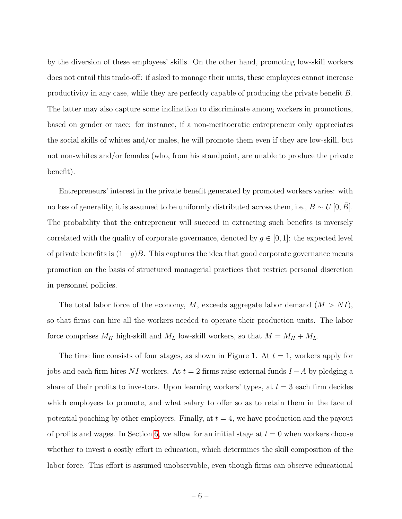by the diversion of these employees' skills. On the other hand, promoting low-skill workers does not entail this trade-off: if asked to manage their units, these employees cannot increase productivity in any case, while they are perfectly capable of producing the private benefit B. The latter may also capture some inclination to discriminate among workers in promotions, based on gender or race: for instance, if a non-meritocratic entrepreneur only appreciates the social skills of whites and/or males, he will promote them even if they are low-skill, but not non-whites and/or females (who, from his standpoint, are unable to produce the private benefit).

Entrepreneurs' interest in the private benefit generated by promoted workers varies: with no loss of generality, it is assumed to be uniformly distributed across them, i.e.,  $B \sim U[0, B]$ . The probability that the entrepreneur will succeed in extracting such benefits is inversely correlated with the quality of corporate governance, denoted by  $g \in [0,1]$ : the expected level of private benefits is  $(1-g)B$ . This captures the idea that good corporate governance means promotion on the basis of structured managerial practices that restrict personal discretion in personnel policies.

The total labor force of the economy,  $M$ , exceeds aggregate labor demand  $(M > NI)$ , so that firms can hire all the workers needed to operate their production units. The labor force comprises  $M_H$  high-skill and  $M_L$  low-skill workers, so that  $M = M_H + M_L$ .

The time line consists of four stages, as shown in Figure 1. At  $t = 1$ , workers apply for jobs and each firm hires NI workers. At  $t = 2$  firms raise external funds  $I - A$  by pledging a share of their profits to investors. Upon learning workers' types, at  $t = 3$  each firm decides which employees to promote, and what salary to offer so as to retain them in the face of potential poaching by other employers. Finally, at  $t = 4$ , we have production and the payout of profits and wages. In Section 6, we allow for an initial stage at  $t = 0$  when workers choose whether to invest a costly effort in education, which determines the skill composition of the labor force. This effort is assumed unobservable, even though firms can observe educational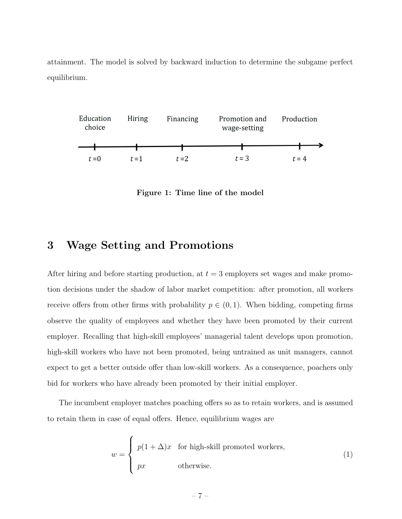attainment. The model is solved by backward induction to determine the subgame perfect equilibrium.



Figure 1: Time line of the model

#### 3 Wage Setting and Promotions

After hiring and before starting production, at  $t = 3$  employers set wages and make promotion decisions under the shadow of labor market competition: after promotion, all workers receive offers from other firms with probability  $p \in (0, 1)$ . When bidding, competing firms observe the quality of employees and whether they have been promoted by their current employer. Recalling that high-skill employees' managerial talent develops upon promotion, high-skill workers who have not been promoted, being untrained as unit managers, cannot expect to get a better outside offer than low-skill workers. As a consequence, poachers only bid for workers who have already been promoted by their initial employer.

The incumbent employer matches poaching offers so as to retain workers, and is assumed to retain them in case of equal offers. Hence, equilibrium wages are

$$
w = \begin{cases} p(1+\Delta)x & \text{for high-shell promoted workers,} \\ px & \text{otherwise.} \end{cases}
$$
 (1)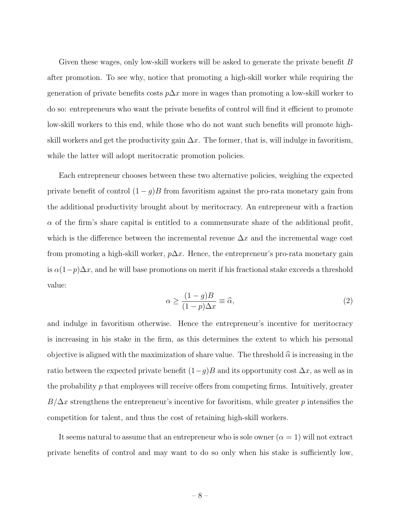Given these wages, only low-skill workers will be asked to generate the private benefit B after promotion. To see why, notice that promoting a high-skill worker while requiring the generation of private benefits costs  $p\Delta x$  more in wages than promoting a low-skill worker to do so: entrepreneurs who want the private benefits of control will find it efficient to promote low-skill workers to this end, while those who do not want such benefits will promote highskill workers and get the productivity gain  $\Delta x$ . The former, that is, will indulge in favoritism, while the latter will adopt meritocratic promotion policies.

Each entrepreneur chooses between these two alternative policies, weighing the expected private benefit of control  $(1 - g)B$  from favoritism against the pro-rata monetary gain from the additional productivity brought about by meritocracy. An entrepreneur with a fraction  $\alpha$  of the firm's share capital is entitled to a commensurate share of the additional profit, which is the difference between the incremental revenue  $\Delta x$  and the incremental wage cost from promoting a high-skill worker,  $p\Delta x$ . Hence, the entrepreneur's pro-rata monetary gain is  $\alpha(1-p)\Delta x$ , and he will base promotions on merit if his fractional stake exceeds a threshold value:

$$
\alpha \ge \frac{(1-g)B}{(1-p)\Delta x} \equiv \widehat{\alpha},\tag{2}
$$

and indulge in favoritism otherwise. Hence the entrepreneur's incentive for meritocracy is increasing in his stake in the firm, as this determines the extent to which his personal objective is aligned with the maximization of share value. The threshold  $\hat{\alpha}$  is increasing in the ratio between the expected private benefit  $(1-g)B$  and its opportunity cost  $\Delta x$ , as well as in the probability  $p$  that employees will receive offers from competing firms. Intuitively, greater  $B/\Delta x$  strengthens the entrepreneur's incentive for favoritism, while greater p intensifies the competition for talent, and thus the cost of retaining high-skill workers.

It seems natural to assume that an entrepreneur who is sole owner  $(\alpha = 1)$  will not extract private benefits of control and may want to do so only when his stake is sufficiently low,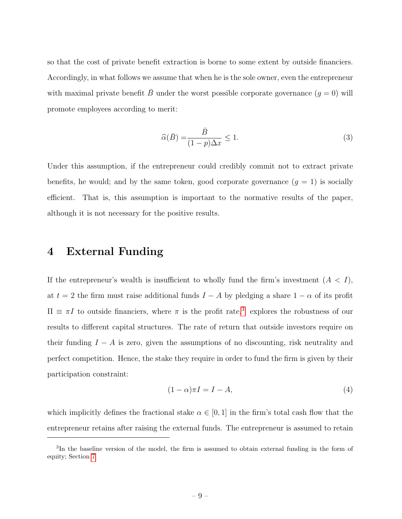so that the cost of private benefit extraction is borne to some extent by outside financiers. Accordingly, in what follows we assume that when he is the sole owner, even the entrepreneur with maximal private benefit  $\bar{B}$  under the worst possible corporate governance  $(g = 0)$  will promote employees according to merit:

$$
\widehat{\alpha}(\bar{B}) = \frac{\bar{B}}{(1-p)\Delta x} \le 1.
$$
\n(3)

Under this assumption, if the entrepreneur could credibly commit not to extract private benefits, he would; and by the same token, good corporate governance  $(g = 1)$  is socially efficient. That is, this assumption is important to the normative results of the paper, although it is not necessary for the positive results.

#### 4 External Funding

If the entrepreneur's wealth is insufficient to wholly fund the firm's investment  $(A < I)$ , at  $t = 2$  the firm must raise additional funds  $I - A$  by pledging a share  $1 - \alpha$  of its profit  $\Pi \equiv \pi I$  to outside financiers, where  $\pi$  is the profit rate.<sup>3</sup> explores the robustness of our results to different capital structures. The rate of return that outside investors require on their funding  $I - A$  is zero, given the assumptions of no discounting, risk neutrality and perfect competition. Hence, the stake they require in order to fund the firm is given by their participation constraint:

$$
(1 - \alpha)\pi I = I - A,\t\t(4)
$$

which implicitly defines the fractional stake  $\alpha \in [0, 1]$  in the firm's total cash flow that the entrepreneur retains after raising the external funds. The entrepreneur is assumed to retain

<sup>&</sup>lt;sup>3</sup>In the baseline version of the model, the firm is assumed to obtain external funding in the form of equity; Section 7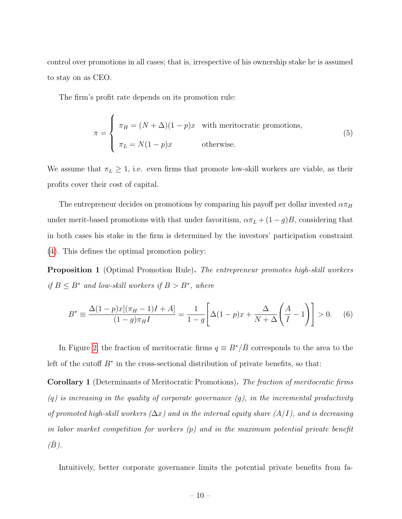control over promotions in all cases; that is, irrespective of his ownership stake he is assumed to stay on as CEO.

The firm's profit rate depends on its promotion rule:

$$
\pi = \begin{cases}\n\pi_H = (N + \Delta)(1 - p)x & \text{with meritocratic promotions,} \\
\pi_L = N(1 - p)x & \text{otherwise.} \n\end{cases}
$$
\n(5)

We assume that  $\pi_L \geq 1$ , i.e. even firms that promote low-skill workers are viable, as their profits cover their cost of capital.

The entrepreneur decides on promotions by comparing his payoff per dollar invested  $\alpha\pi_H$ under merit-based promotions with that under favoritism,  $\alpha \pi_L + (1 - g)B$ , considering that in both cases his stake in the firm is determined by the investors' participation constraint (4). This defines the optimal promotion policy:

Proposition 1 (Optimal Promotion Rule). The entrepreneur promotes high-skill workers if  $B \leq B^*$  and low-skill workers if  $B > B^*$ , where

$$
B^* \equiv \frac{\Delta(1-p)x[(\pi_H - 1)I + A]}{(1-g)\pi_H I} = \frac{1}{1-g} \left[ \Delta(1-p)x + \frac{\Delta}{N+\Delta} \left( \frac{A}{I} - 1 \right) \right] > 0. \tag{6}
$$

In Figure 2, the fraction of meritocratic firms  $q \equiv B^*/\bar{B}$  corresponds to the area to the left of the cutoff  $B^*$  in the cross-sectional distribution of private benefits, so that:

Corollary 1 (Determinants of Meritocratic Promotions). The fraction of meritocratic firms  $(q)$  is increasing in the quality of corporate governance  $(q)$ , in the incremental productivity of promoted high-skill workers  $(\Delta x)$  and in the internal equity share  $(A/I)$ , and is decreasing in labor market competition for workers (p) and in the maximum potential private benefit  $(\bar{B})$ .

Intuitively, better corporate governance limits the potential private benefits from fa-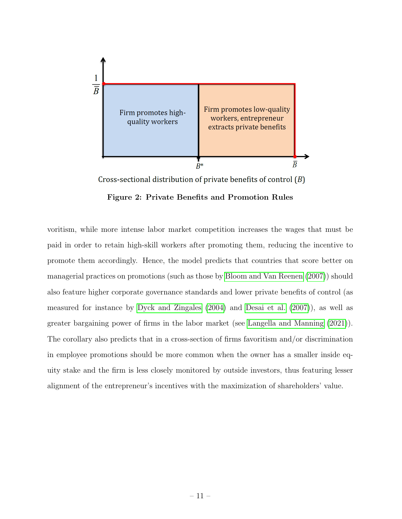

Cross-sectional distribution of private benefits of control  $(B)$ 

Figure 2: Private Benefits and Promotion Rules

voritism, while more intense labor market competition increases the wages that must be paid in order to retain high-skill workers after promoting them, reducing the incentive to promote them accordingly. Hence, the model predicts that countries that score better on managerial practices on promotions (such as those by Bloom and Van Reenen (2007)) should also feature higher corporate governance standards and lower private benefits of control (as measured for instance by Dyck and Zingales (2004) and Desai et al. (2007)), as well as greater bargaining power of firms in the labor market (see Langella and Manning (2021)). The corollary also predicts that in a cross-section of firms favoritism and/or discrimination in employee promotions should be more common when the owner has a smaller inside equity stake and the firm is less closely monitored by outside investors, thus featuring lesser alignment of the entrepreneur's incentives with the maximization of shareholders' value.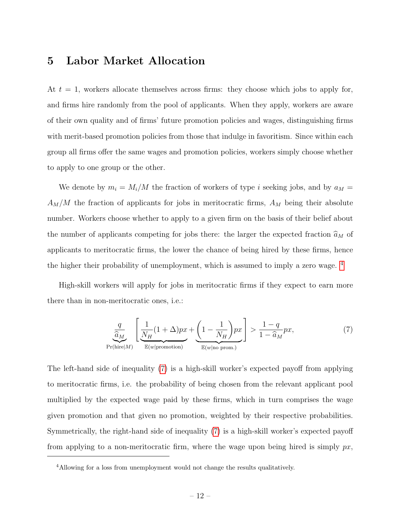## 5 Labor Market Allocation

At  $t = 1$ , workers allocate themselves across firms: they choose which jobs to apply for, and firms hire randomly from the pool of applicants. When they apply, workers are aware of their own quality and of firms' future promotion policies and wages, distinguishing firms with merit-based promotion policies from those that indulge in favoritism. Since within each group all firms offer the same wages and promotion policies, workers simply choose whether to apply to one group or the other.

We denote by  $m_i = M_i/M$  the fraction of workers of type i seeking jobs, and by  $a_M =$  $A_M/M$  the fraction of applicants for jobs in meritocratic firms,  $A_M$  being their absolute number. Workers choose whether to apply to a given firm on the basis of their belief about the number of applicants competing for jobs there: the larger the expected fraction  $\widehat a_M$  of applicants to meritocratic firms, the lower the chance of being hired by these firms, hence the higher their probability of unemployment, which is assumed to imply a zero wage. 4

High-skill workers will apply for jobs in meritocratic firms if they expect to earn more there than in non-meritocratic ones, i.e.:

$$
\underbrace{\frac{q}{\hat{a}_M}}_{\text{Pr(hire}|M)} \left[ \underbrace{\frac{1}{N_H} (1 + \Delta) px}_{\mathbb{E}(w|\text{promotion})} + \underbrace{\left(1 - \frac{1}{N_H}\right) px}_{\mathbb{E}(w|\text{no prom.})} \right] > \frac{1 - q}{1 - \hat{a}_M} px,\tag{7}
$$

The left-hand side of inequality (7) is a high-skill worker's expected payoff from applying to meritocratic firms, i.e. the probability of being chosen from the relevant applicant pool multiplied by the expected wage paid by these firms, which in turn comprises the wage given promotion and that given no promotion, weighted by their respective probabilities. Symmetrically, the right-hand side of inequality (7) is a high-skill worker's expected payoff from applying to a non-meritocratic firm, where the wage upon being hired is simply  $px$ ,

<sup>4</sup>Allowing for a loss from unemployment would not change the results qualitatively.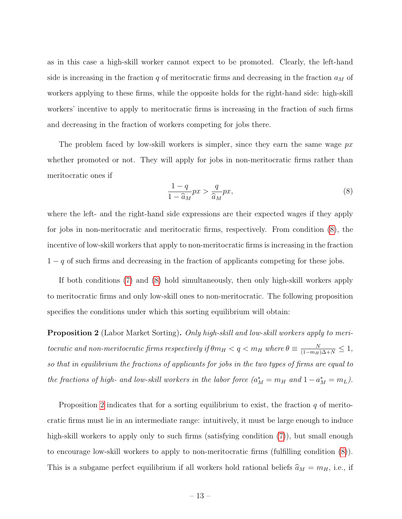as in this case a high-skill worker cannot expect to be promoted. Clearly, the left-hand side is increasing in the fraction  $q$  of meritocratic firms and decreasing in the fraction  $a_M$  of workers applying to these firms, while the opposite holds for the right-hand side: high-skill workers' incentive to apply to meritocratic firms is increasing in the fraction of such firms and decreasing in the fraction of workers competing for jobs there.

The problem faced by low-skill workers is simpler, since they earn the same wage  $px$ whether promoted or not. They will apply for jobs in non-meritocratic firms rather than meritocratic ones if

$$
\frac{1-q}{1-\hat{a}_M}px > \frac{q}{\hat{a}_M}px,\tag{8}
$$

where the left- and the right-hand side expressions are their expected wages if they apply for jobs in non-meritocratic and meritocratic firms, respectively. From condition (8), the incentive of low-skill workers that apply to non-meritocratic firms is increasing in the fraction  $1 - q$  of such firms and decreasing in the fraction of applicants competing for these jobs.

If both conditions (7) and (8) hold simultaneously, then only high-skill workers apply to meritocratic firms and only low-skill ones to non-meritocratic. The following proposition specifies the conditions under which this sorting equilibrium will obtain:

Proposition 2 (Labor Market Sorting). Only high-skill and low-skill workers apply to meritocratic and non-meritocratic firms respectively if  $\theta m_H < q < m_H$  where  $\theta \equiv \frac{N}{(1-m_H)\Delta+N} \leq 1$ , so that in equilibrium the fractions of applicants for jobs in the two types of firms are equal to the fractions of high- and low-skill workers in the labor force  $(a_M^* = m_H$  and  $1 - a_M^* = m_L)$ .

Proposition 2 indicates that for a sorting equilibrium to exist, the fraction  $q$  of meritocratic firms must lie in an intermediate range: intuitively, it must be large enough to induce high-skill workers to apply only to such firms (satisfying condition  $(7)$ ), but small enough to encourage low-skill workers to apply to non-meritocratic firms (fulfilling condition (8)). This is a subgame perfect equilibrium if all workers hold rational beliefs  $\hat{a}_M = m_H$ , i.e., if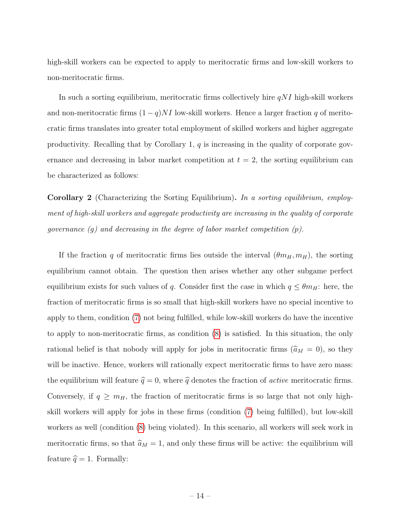high-skill workers can be expected to apply to meritocratic firms and low-skill workers to non-meritocratic firms.

In such a sorting equilibrium, meritocratic firms collectively hire  $qNI$  high-skill workers and non-meritocratic firms  $(1 - q)NI$  low-skill workers. Hence a larger fraction q of meritocratic firms translates into greater total employment of skilled workers and higher aggregate productivity. Recalling that by Corollary 1,  $q$  is increasing in the quality of corporate governance and decreasing in labor market competition at  $t = 2$ , the sorting equilibrium can be characterized as follows:

Corollary 2 (Characterizing the Sorting Equilibrium). In a sorting equilibrium, employment of high-skill workers and aggregate productivity are increasing in the quality of corporate governance  $(g)$  and decreasing in the degree of labor market competition  $(p)$ .

If the fraction q of meritocratic firms lies outside the interval  $(\theta m_H, m_H)$ , the sorting equilibrium cannot obtain. The question then arises whether any other subgame perfect equilibrium exists for such values of q. Consider first the case in which  $q \leq \theta m_H$ : here, the fraction of meritocratic firms is so small that high-skill workers have no special incentive to apply to them, condition (7) not being fulfilled, while low-skill workers do have the incentive to apply to non-meritocratic firms, as condition (8) is satisfied. In this situation, the only rational belief is that nobody will apply for jobs in meritocratic firms  $(\hat{a}_M = 0)$ , so they will be inactive. Hence, workers will rationally expect meritocratic firms to have zero mass: the equilibrium will feature  $\hat{q} = 0$ , where  $\hat{q}$  denotes the fraction of *active* meritocratic firms. Conversely, if  $q \geq m_H$ , the fraction of meritocratic firms is so large that not only highskill workers will apply for jobs in these firms (condition (7) being fulfilled), but low-skill workers as well (condition (8) being violated). In this scenario, all workers will seek work in meritocratic firms, so that  $\hat{a}_M = 1$ , and only these firms will be active: the equilibrium will feature  $\hat{q} = 1$ . Formally: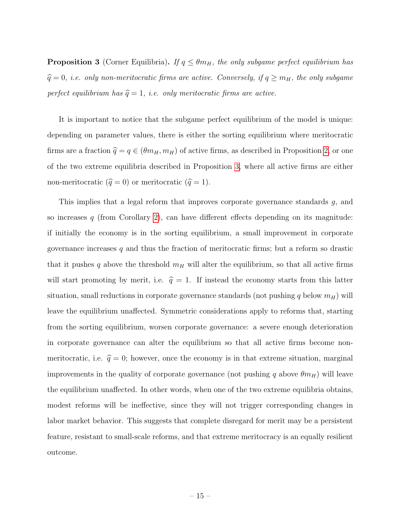**Proposition 3** (Corner Equilibria). If  $q \leq \theta m_H$ , the only subgame perfect equilibrium has  $\hat{q} = 0$ , i.e. only non-meritocratic firms are active. Conversely, if  $q \geq m_H$ , the only subgame perfect equilibrium has  $\hat{q} = 1$ , i.e. only meritocratic firms are active.

It is important to notice that the subgame perfect equilibrium of the model is unique: depending on parameter values, there is either the sorting equilibrium where meritocratic firms are a fraction  $\hat{q} = q \in (\theta m_H, m_H)$  of active firms, as described in Proposition 2, or one of the two extreme equilibria described in Proposition 3, where all active firms are either non-meritocratic  $(\hat{q} = 0)$  or meritocratic  $(\hat{q} = 1)$ .

This implies that a legal reform that improves corporate governance standards g, and so increases  $q$  (from Corollary 2), can have different effects depending on its magnitude: if initially the economy is in the sorting equilibrium, a small improvement in corporate governance increases  $q$  and thus the fraction of meritocratic firms; but a reform so drastic that it pushes q above the threshold  $m_H$  will alter the equilibrium, so that all active firms will start promoting by merit, i.e.  $\hat{q} = 1$ . If instead the economy starts from this latter situation, small reductions in corporate governance standards (not pushing q below  $m_H$ ) will leave the equilibrium unaffected. Symmetric considerations apply to reforms that, starting from the sorting equilibrium, worsen corporate governance: a severe enough deterioration in corporate governance can alter the equilibrium so that all active firms become nonmeritocratic, i.e.  $\hat{q} = 0$ ; however, once the economy is in that extreme situation, marginal improvements in the quality of corporate governance (not pushing q above  $\theta m_H$ ) will leave the equilibrium unaffected. In other words, when one of the two extreme equilibria obtains, modest reforms will be ineffective, since they will not trigger corresponding changes in labor market behavior. This suggests that complete disregard for merit may be a persistent feature, resistant to small-scale reforms, and that extreme meritocracy is an equally resilient outcome.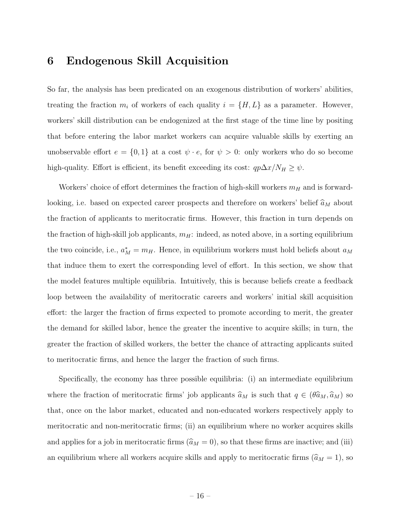#### 6 Endogenous Skill Acquisition

So far, the analysis has been predicated on an exogenous distribution of workers' abilities, treating the fraction  $m_i$  of workers of each quality  $i = \{H, L\}$  as a parameter. However, workers' skill distribution can be endogenized at the first stage of the time line by positing that before entering the labor market workers can acquire valuable skills by exerting an unobservable effort  $e = \{0, 1\}$  at a cost  $\psi \cdot e$ , for  $\psi > 0$ : only workers who do so become high-quality. Effort is efficient, its benefit exceeding its cost:  $qp\Delta x/N_H \geq \psi$ .

Workers' choice of effort determines the fraction of high-skill workers  $m_H$  and is forwardlooking, i.e. based on expected career prospects and therefore on workers' belief  $\widehat a_M$  about the fraction of applicants to meritocratic firms. However, this fraction in turn depends on the fraction of high-skill job applicants,  $m_H$ : indeed, as noted above, in a sorting equilibrium the two coincide, i.e.,  $a_M^* = m_H$ . Hence, in equilibrium workers must hold beliefs about  $a_M$ that induce them to exert the corresponding level of effort. In this section, we show that the model features multiple equilibria. Intuitively, this is because beliefs create a feedback loop between the availability of meritocratic careers and workers' initial skill acquisition effort: the larger the fraction of firms expected to promote according to merit, the greater the demand for skilled labor, hence the greater the incentive to acquire skills; in turn, the greater the fraction of skilled workers, the better the chance of attracting applicants suited to meritocratic firms, and hence the larger the fraction of such firms.

Specifically, the economy has three possible equilibria: (i) an intermediate equilibrium where the fraction of meritocratic firms' job applicants  $\hat{a}_M$  is such that  $q \in (\theta \hat{a}_M, \hat{a}_M)$  so that, once on the labor market, educated and non-educated workers respectively apply to meritocratic and non-meritocratic firms; (ii) an equilibrium where no worker acquires skills and applies for a job in meritocratic firms ( $\hat{a}_M = 0$ ), so that these firms are inactive; and (iii) an equilibrium where all workers acquire skills and apply to meritocratic firms  $(\hat{a}_M = 1)$ , so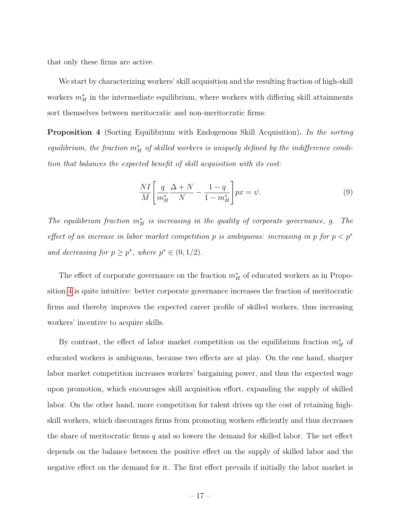that only these firms are active.

We start by characterizing workers' skill acquisition and the resulting fraction of high-skill workers  $m_H^*$  in the intermediate equilibrium, where workers with differing skill attainments sort themselves between meritocratic and non-meritocratic firms:

**Proposition 4** (Sorting Equilibrium with Endogenous Skill Acquisition). In the sorting equilibrium, the fraction  $m_H^*$  of skilled workers is uniquely defined by the indifference condition that balances the expected benefit of skill acquisition with its cost:

$$
\frac{NI}{M} \left[ \frac{q}{m_H^*} \frac{\Delta + N}{N} - \frac{1 - q}{1 - m_H^*} \right] px = \psi.
$$
\n(9)

The equilibrium fraction  $m_H^*$  is increasing in the quality of corporate governance, g. The effect of an increase in labor market competition p is ambiguous: increasing in p for  $p < p^*$ and decreasing for  $p \geq p^*$ , where  $p^* \in (0, 1/2)$ .

The effect of corporate governance on the fraction  $m_H^*$  of educated workers as in Proposition 4 is quite intuitive: better corporate governance increases the fraction of meritocratic firms and thereby improves the expected career profile of skilled workers, thus increasing workers' incentive to acquire skills.

By contrast, the effect of labor market competition on the equilibrium fraction  $m_H^*$  of educated workers is ambiguous, because two effects are at play. On the one hand, sharper labor market competition increases workers' bargaining power, and thus the expected wage upon promotion, which encourages skill acquisition effort, expanding the supply of skilled labor. On the other hand, more competition for talent drives up the cost of retaining highskill workers, which discourages firms from promoting workers efficiently and thus decreases the share of meritocratic firms  $q$  and so lowers the demand for skilled labor. The net effect depends on the balance between the positive effect on the supply of skilled labor and the negative effect on the demand for it. The first effect prevails if initially the labor market is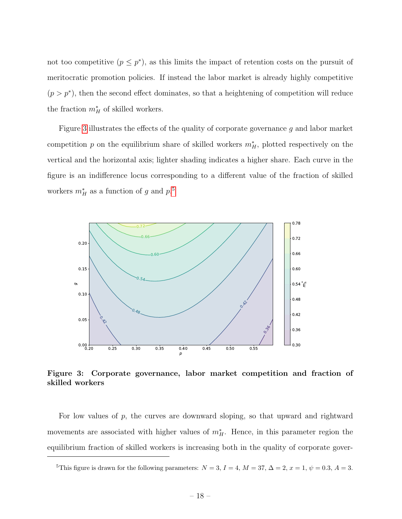not too competitive  $(p \leq p^*)$ , as this limits the impact of retention costs on the pursuit of meritocratic promotion policies. If instead the labor market is already highly competitive  $(p > p^*)$ , then the second effect dominates, so that a heightening of competition will reduce the fraction  $m_H^*$  of skilled workers.

Figure 3 illustrates the effects of the quality of corporate governance g and labor market competition p on the equilibrium share of skilled workers  $m_H^*$ , plotted respectively on the vertical and the horizontal axis; lighter shading indicates a higher share. Each curve in the figure is an indifference locus corresponding to a different value of the fraction of skilled workers  $m_H^*$  as a function of g and  $p$ .<sup>5</sup>



Figure 3: Corporate governance, labor market competition and fraction of skilled workers

For low values of p, the curves are downward sloping, so that upward and rightward movements are associated with higher values of  $m_H^*$ . Hence, in this parameter region the equilibrium fraction of skilled workers is increasing both in the quality of corporate gover-

<sup>&</sup>lt;sup>5</sup>This figure is drawn for the following parameters:  $N = 3$ ,  $I = 4$ ,  $M = 37$ ,  $\Delta = 2$ ,  $x = 1$ ,  $\psi = 0.3$ ,  $A = 3$ .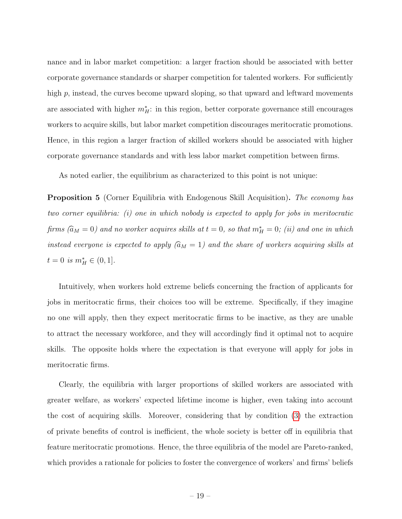nance and in labor market competition: a larger fraction should be associated with better corporate governance standards or sharper competition for talented workers. For sufficiently high p, instead, the curves become upward sloping, so that upward and leftward movements are associated with higher  $m_H^*$ : in this region, better corporate governance still encourages workers to acquire skills, but labor market competition discourages meritocratic promotions. Hence, in this region a larger fraction of skilled workers should be associated with higher corporate governance standards and with less labor market competition between firms.

As noted earlier, the equilibrium as characterized to this point is not unique:

**Proposition 5** (Corner Equilibria with Endogenous Skill Acquisition). The economy has two corner equilibria: (i) one in which nobody is expected to apply for jobs in meritocratic firms  $(\widehat{a}_M = 0)$  and no worker acquires skills at  $t = 0$ , so that  $m_H^* = 0$ ; (ii) and one in which instead everyone is expected to apply  $(\widehat{a}_M = 1)$  and the share of workers acquiring skills at  $t = 0$  is  $m_H^* \in (0, 1].$ 

Intuitively, when workers hold extreme beliefs concerning the fraction of applicants for jobs in meritocratic firms, their choices too will be extreme. Specifically, if they imagine no one will apply, then they expect meritocratic firms to be inactive, as they are unable to attract the necessary workforce, and they will accordingly find it optimal not to acquire skills. The opposite holds where the expectation is that everyone will apply for jobs in meritocratic firms.

Clearly, the equilibria with larger proportions of skilled workers are associated with greater welfare, as workers' expected lifetime income is higher, even taking into account the cost of acquiring skills. Moreover, considering that by condition (3) the extraction of private benefits of control is inefficient, the whole society is better off in equilibria that feature meritocratic promotions. Hence, the three equilibria of the model are Pareto-ranked, which provides a rationale for policies to foster the convergence of workers' and firms' beliefs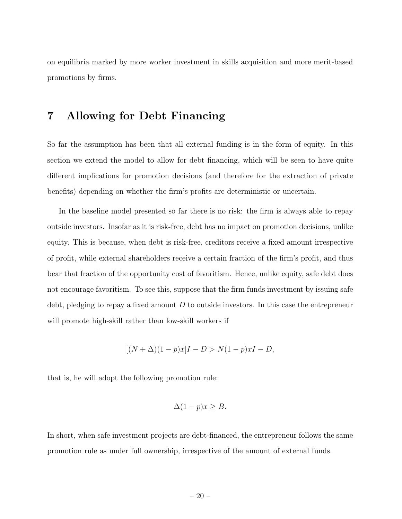on equilibria marked by more worker investment in skills acquisition and more merit-based promotions by firms.

#### 7 Allowing for Debt Financing

So far the assumption has been that all external funding is in the form of equity. In this section we extend the model to allow for debt financing, which will be seen to have quite different implications for promotion decisions (and therefore for the extraction of private benefits) depending on whether the firm's profits are deterministic or uncertain.

In the baseline model presented so far there is no risk: the firm is always able to repay outside investors. Insofar as it is risk-free, debt has no impact on promotion decisions, unlike equity. This is because, when debt is risk-free, creditors receive a fixed amount irrespective of profit, while external shareholders receive a certain fraction of the firm's profit, and thus bear that fraction of the opportunity cost of favoritism. Hence, unlike equity, safe debt does not encourage favoritism. To see this, suppose that the firm funds investment by issuing safe debt, pledging to repay a fixed amount  $D$  to outside investors. In this case the entrepreneur will promote high-skill rather than low-skill workers if

$$
[(N + \Delta)(1 - p)x]I - D > N(1 - p)xI - D,
$$

that is, he will adopt the following promotion rule:

$$
\Delta(1-p)x \ge B.
$$

In short, when safe investment projects are debt-financed, the entrepreneur follows the same promotion rule as under full ownership, irrespective of the amount of external funds.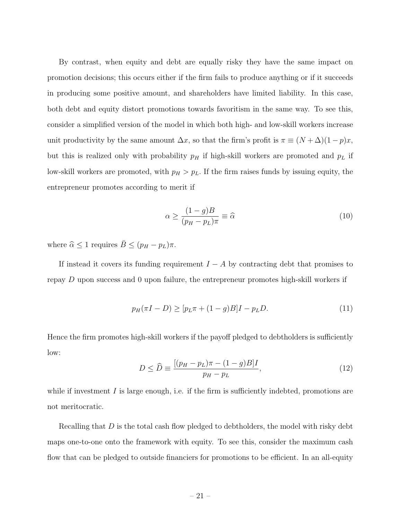By contrast, when equity and debt are equally risky they have the same impact on promotion decisions; this occurs either if the firm fails to produce anything or if it succeeds in producing some positive amount, and shareholders have limited liability. In this case, both debt and equity distort promotions towards favoritism in the same way. To see this, consider a simplified version of the model in which both high- and low-skill workers increase unit productivity by the same amount  $\Delta x$ , so that the firm's profit is  $\pi \equiv (N + \Delta)(1 - p)x$ , but this is realized only with probability  $p_H$  if high-skill workers are promoted and  $p_L$  if low-skill workers are promoted, with  $p_H > p_L$ . If the firm raises funds by issuing equity, the entrepreneur promotes according to merit if

$$
\alpha \ge \frac{(1-g)B}{(p_H - p_L)\pi} \equiv \widehat{\alpha} \tag{10}
$$

where  $\hat{\alpha} \leq 1$  requires  $\bar{B} \leq (p_H - p_L)\pi$ .

If instead it covers its funding requirement  $I - A$  by contracting debt that promises to repay  $D$  upon success and 0 upon failure, the entrepreneur promotes high-skill workers if

$$
p_H(\pi I - D) \ge [p_L \pi + (1 - g)B]I - p_L D.
$$
\n(11)

Hence the firm promotes high-skill workers if the payoff pledged to debtholders is sufficiently low:

$$
D \le \widehat{D} \equiv \frac{[(p_H - p_L)\pi - (1 - g)B]I}{p_H - p_L},\tag{12}
$$

while if investment  $I$  is large enough, i.e. if the firm is sufficiently indebted, promotions are not meritocratic.

Recalling that  $D$  is the total cash flow pledged to debtholders, the model with risky debt maps one-to-one onto the framework with equity. To see this, consider the maximum cash flow that can be pledged to outside financiers for promotions to be efficient. In an all-equity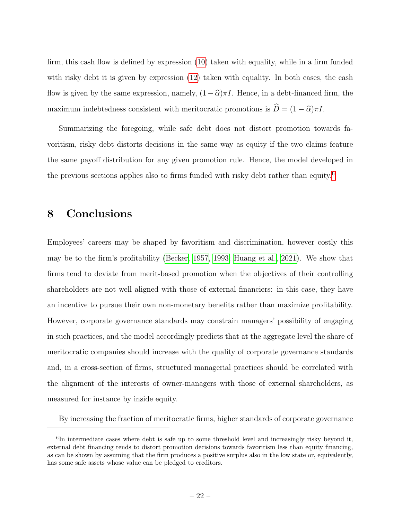firm, this cash flow is defined by expression (10) taken with equality, while in a firm funded with risky debt it is given by expression (12) taken with equality. In both cases, the cash flow is given by the same expression, namely,  $(1 - \hat{\alpha})\pi I$ . Hence, in a debt-financed firm, the maximum indebtedness consistent with meritocratic promotions is  $\hat{D} = (1 - \hat{\alpha})\pi I$ .

Summarizing the foregoing, while safe debt does not distort promotion towards favoritism, risky debt distorts decisions in the same way as equity if the two claims feature the same payoff distribution for any given promotion rule. Hence, the model developed in the previous sections applies also to firms funded with risky debt rather than equity.6

#### 8 Conclusions

Employees' careers may be shaped by favoritism and discrimination, however costly this may be to the firm's profitability (Becker, 1957, 1993; Huang et al., 2021). We show that firms tend to deviate from merit-based promotion when the objectives of their controlling shareholders are not well aligned with those of external financiers: in this case, they have an incentive to pursue their own non-monetary benefits rather than maximize profitability. However, corporate governance standards may constrain managers' possibility of engaging in such practices, and the model accordingly predicts that at the aggregate level the share of meritocratic companies should increase with the quality of corporate governance standards and, in a cross-section of firms, structured managerial practices should be correlated with the alignment of the interests of owner-managers with those of external shareholders, as measured for instance by inside equity.

By increasing the fraction of meritocratic firms, higher standards of corporate governance

<sup>&</sup>lt;sup>6</sup>In intermediate cases where debt is safe up to some threshold level and increasingly risky beyond it, external debt financing tends to distort promotion decisions towards favoritism less than equity financing, as can be shown by assuming that the firm produces a positive surplus also in the low state or, equivalently, has some safe assets whose value can be pledged to creditors.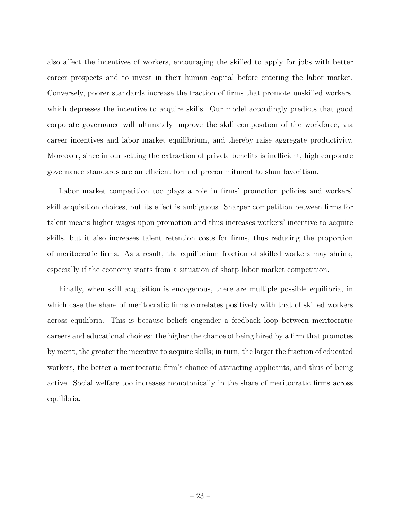also affect the incentives of workers, encouraging the skilled to apply for jobs with better career prospects and to invest in their human capital before entering the labor market. Conversely, poorer standards increase the fraction of firms that promote unskilled workers, which depresses the incentive to acquire skills. Our model accordingly predicts that good corporate governance will ultimately improve the skill composition of the workforce, via career incentives and labor market equilibrium, and thereby raise aggregate productivity. Moreover, since in our setting the extraction of private benefits is inefficient, high corporate governance standards are an efficient form of precommitment to shun favoritism.

Labor market competition too plays a role in firms' promotion policies and workers' skill acquisition choices, but its effect is ambiguous. Sharper competition between firms for talent means higher wages upon promotion and thus increases workers' incentive to acquire skills, but it also increases talent retention costs for firms, thus reducing the proportion of meritocratic firms. As a result, the equilibrium fraction of skilled workers may shrink, especially if the economy starts from a situation of sharp labor market competition.

Finally, when skill acquisition is endogenous, there are multiple possible equilibria, in which case the share of meritocratic firms correlates positively with that of skilled workers across equilibria. This is because beliefs engender a feedback loop between meritocratic careers and educational choices: the higher the chance of being hired by a firm that promotes by merit, the greater the incentive to acquire skills; in turn, the larger the fraction of educated workers, the better a meritocratic firm's chance of attracting applicants, and thus of being active. Social welfare too increases monotonically in the share of meritocratic firms across equilibria.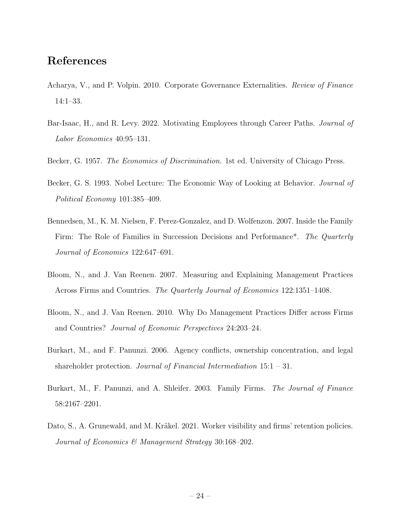### References

- Acharya, V., and P. Volpin. 2010. Corporate Governance Externalities. Review of Finance 14:1–33.
- Bar-Isaac, H., and R. Levy. 2022. Motivating Employees through Career Paths. Journal of Labor Economics 40:95–131.
- Becker, G. 1957. *The Economics of Discrimination*. 1st ed. University of Chicago Press.
- Becker, G. S. 1993. Nobel Lecture: The Economic Way of Looking at Behavior. *Journal of* Political Economy 101:385–409.
- Bennedsen, M., K. M. Nielsen, F. Perez-Gonzalez, and D. Wolfenzon. 2007. Inside the Family Firm: The Role of Families in Succession Decisions and Performance<sup>\*</sup>. The Quarterly Journal of Economics 122:647–691.
- Bloom, N., and J. Van Reenen. 2007. Measuring and Explaining Management Practices Across Firms and Countries. The Quarterly Journal of Economics 122:1351–1408.
- Bloom, N., and J. Van Reenen. 2010. Why Do Management Practices Differ across Firms and Countries? Journal of Economic Perspectives 24:203–24.
- Burkart, M., and F. Panunzi. 2006. Agency conflicts, ownership concentration, and legal shareholder protection. Journal of Financial Intermediation  $15:1 - 31$ .
- Burkart, M., F. Panunzi, and A. Shleifer. 2003. Family Firms. The Journal of Finance 58:2167–2201.
- Dato, S., A. Grunewald, and M. Kräkel. 2021. Worker visibility and firms' retention policies. Journal of Economics & Management Strategy 30:168–202.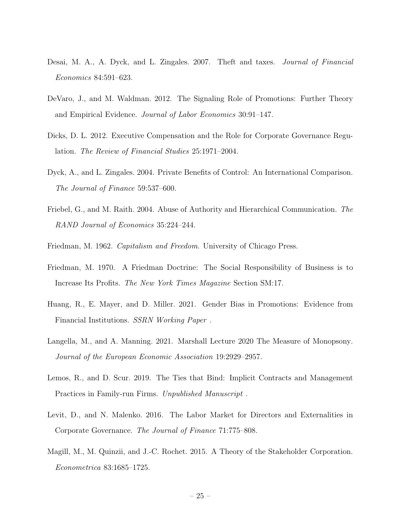- Desai, M. A., A. Dyck, and L. Zingales. 2007. Theft and taxes. Journal of Financial Economics 84:591–623.
- DeVaro, J., and M. Waldman. 2012. The Signaling Role of Promotions: Further Theory and Empirical Evidence. Journal of Labor Economics 30:91–147.
- Dicks, D. L. 2012. Executive Compensation and the Role for Corporate Governance Regulation. The Review of Financial Studies 25:1971–2004.
- Dyck, A., and L. Zingales. 2004. Private Benefits of Control: An International Comparison. The Journal of Finance 59:537–600.
- Friebel, G., and M. Raith. 2004. Abuse of Authority and Hierarchical Communication. The RAND Journal of Economics 35:224–244.
- Friedman, M. 1962. Capitalism and Freedom. University of Chicago Press.
- Friedman, M. 1970. A Friedman Doctrine: The Social Responsibility of Business is to Increase Its Profits. The New York Times Magazine Section SM:17.
- Huang, R., E. Mayer, and D. Miller. 2021. Gender Bias in Promotions: Evidence from Financial Institutions. SSRN Working Paper .
- Langella, M., and A. Manning. 2021. Marshall Lecture 2020 The Measure of Monopsony. Journal of the European Economic Association 19:2929–2957.
- Lemos, R., and D. Scur. 2019. The Ties that Bind: Implicit Contracts and Management Practices in Family-run Firms. Unpublished Manuscript .
- Levit, D., and N. Malenko. 2016. The Labor Market for Directors and Externalities in Corporate Governance. The Journal of Finance 71:775–808.
- Magill, M., M. Quinzii, and J.-C. Rochet. 2015. A Theory of the Stakeholder Corporation. Econometrica 83:1685–1725.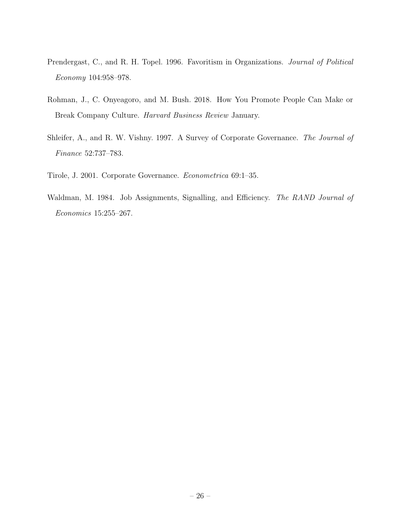- Prendergast, C., and R. H. Topel. 1996. Favoritism in Organizations. Journal of Political Economy 104:958–978.
- Rohman, J., C. Onyeagoro, and M. Bush. 2018. How You Promote People Can Make or Break Company Culture. Harvard Business Review January.
- Shleifer, A., and R. W. Vishny. 1997. A Survey of Corporate Governance. The Journal of Finance 52:737–783.
- Tirole, J. 2001. Corporate Governance. Econometrica 69:1–35.
- Waldman, M. 1984. Job Assignments, Signalling, and Efficiency. The RAND Journal of Economics 15:255–267.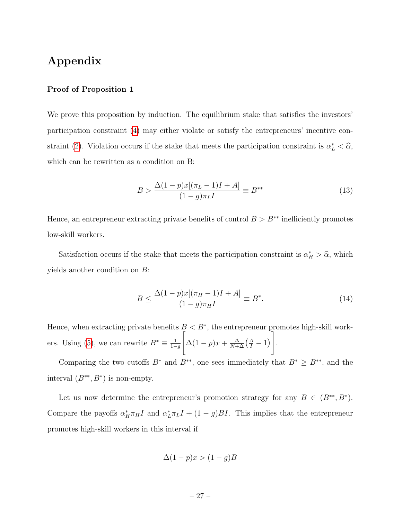### Appendix

#### Proof of Proposition 1

We prove this proposition by induction. The equilibrium stake that satisfies the investors' participation constraint (4) may either violate or satisfy the entrepreneurs' incentive constraint (2). Violation occurs if the stake that meets the participation constraint is  $\alpha_L^* < \hat{\alpha}$ , which can be rewritten as a condition on B:

$$
B > \frac{\Delta(1-p)x[(\pi_L - 1)I + A]}{(1 - g)\pi_L I} \equiv B^{**}
$$
\n(13)

Hence, an entrepreneur extracting private benefits of control  $B > B^{**}$  inefficiently promotes low-skill workers.

Satisfaction occurs if the stake that meets the participation constraint is  $\alpha_H^* > \hat{\alpha}$ , which yields another condition on B:

$$
B \le \frac{\Delta(1-p)x[(\pi_H - 1)I + A]}{(1-g)\pi_H I} \equiv B^*.
$$
 (14)

Hence, when extracting private benefits  $B < B^*$ , the entrepreneur promotes high-skill workers. Using (5), we can rewrite  $B^* \equiv \frac{1}{1-}$  $1-q$  $\sqrt{ }$  $\Delta(1-p)x + \frac{\Delta}{N+\Delta}(\frac{A}{I}-1)$ 1 .

Comparing the two cutoffs  $B^*$  and  $B^{**}$ , one sees immediately that  $B^* \ge B^{**}$ , and the interval  $(B^{**}, B^*)$  is non-empty.

Let us now determine the entrepreneur's promotion strategy for any  $B \in (B^{**}, B^*)$ . Compare the payoffs  $\alpha_H^* \pi_H I$  and  $\alpha_L^* \pi_L I + (1 - g)BI$ . This implies that the entrepreneur promotes high-skill workers in this interval if

$$
\Delta(1-p)x > (1-g)B
$$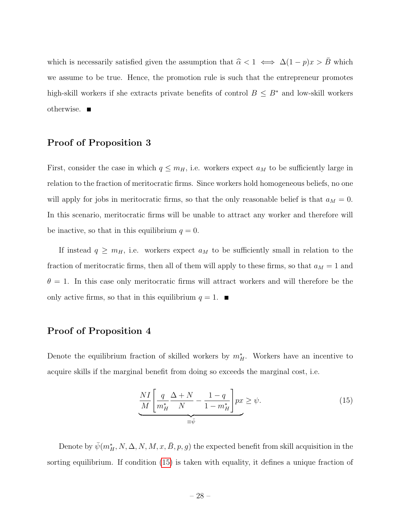which is necessarily satisfied given the assumption that  $\hat{\alpha} < 1 \iff \Delta(1 - p)x > \bar{B}$  which we assume to be true. Hence, the promotion rule is such that the entrepreneur promotes high-skill workers if she extracts private benefits of control  $B \leq B^*$  and low-skill workers otherwise.

#### Proof of Proposition 3

First, consider the case in which  $q \leq m_H$ , i.e. workers expect  $a_M$  to be sufficiently large in relation to the fraction of meritocratic firms. Since workers hold homogeneous beliefs, no one will apply for jobs in meritocratic firms, so that the only reasonable belief is that  $a_M = 0$ . In this scenario, meritocratic firms will be unable to attract any worker and therefore will be inactive, so that in this equilibrium  $q = 0$ .

If instead  $q \geq m_H$ , i.e. workers expect  $a_M$  to be sufficiently small in relation to the fraction of meritocratic firms, then all of them will apply to these firms, so that  $a_M = 1$  and  $\theta = 1$ . In this case only meritocratic firms will attract workers and will therefore be the only active firms, so that in this equilibrium  $q = 1$ .

#### Proof of Proposition 4

Denote the equilibrium fraction of skilled workers by  $m_H^*$ . Workers have an incentive to acquire skills if the marginal benefit from doing so exceeds the marginal cost, i.e.

$$
\underbrace{\frac{NI}{M} \left[ \frac{q}{m_H^*} \frac{\Delta + N}{N} - \frac{1 - q}{1 - m_H^*} \right]}_{\equiv \bar{\psi}} px \ge \psi.
$$
\n(15)

Denote by  $\bar{\psi}(m_H^*, N, \Delta, N, M, x, \bar{B}, p, g)$  the expected benefit from skill acquisition in the sorting equilibrium. If condition (15) is taken with equality, it defines a unique fraction of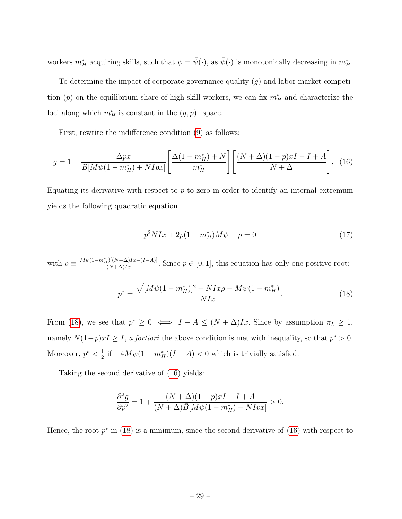workers  $m_H^*$  acquiring skills, such that  $\psi = \bar{\psi}(\cdot)$ , as  $\bar{\psi}(\cdot)$  is monotonically decreasing in  $m_H^*$ .

To determine the impact of corporate governance quality  $(g)$  and labor market competition (p) on the equilibrium share of high-skill workers, we can fix  $m_H^*$  and characterize the loci along which  $m_H^*$  is constant in the  $(g, p)$ -space.

First, rewrite the indifference condition (9) as follows:

$$
g = 1 - \frac{\Delta px}{\overline{B}[M\psi(1 - m_H^*) + NIpx]} \left[ \frac{\Delta(1 - m_H^*) + N}{m_H^*} \right] \left[ \frac{(N + \Delta)(1 - p)xI - I + A}{N + \Delta} \right], \tag{16}
$$

Equating its derivative with respect to  $p$  to zero in order to identify an internal extremum yields the following quadratic equation

$$
p^2 N I x + 2p(1 - m_H^*) M \psi - \rho = 0 \tag{17}
$$

with  $\rho \equiv \frac{M\psi(1-m_H^*)([N+\Delta)Ix - (I-A)]}{(N+\Delta)Ix}$ . Since  $p \in [0,1]$ , this equation has only one positive root:

$$
p^* = \frac{\sqrt{[M\psi(1 - m_H^*)]^2 + NIx\rho} - M\psi(1 - m_H^*)}{NIx}.
$$
\n(18)

From (18), we see that  $p^* \geq 0 \iff I - A \leq (N + \Delta)Ix$ . Since by assumption  $\pi_L \geq 1$ , namely  $N(1-p)xI \geq I$ , a fortiori the above condition is met with inequality, so that  $p^* > 0$ . Moreover,  $p^* < \frac{1}{2}$  $\frac{1}{2}$  if  $-4M\psi(1-m_H^*)(I-A) < 0$  which is trivially satisfied.

Taking the second derivative of (16) yields:

$$
\frac{\partial^2 g}{\partial p^2} = 1 + \frac{(N+\Delta)(1-p)xI - I + A}{(N+\Delta)\bar{B}[M\psi(1-m_H^*) + NIpx]} > 0.
$$

Hence, the root  $p^*$  in (18) is a minimum, since the second derivative of (16) with respect to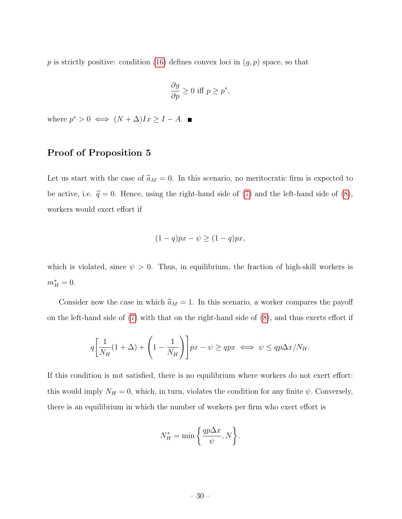p is strictly positive: condition (16) defines convex loci in  $(g, p)$  space, so that

$$
\frac{\partial g}{\partial p} \ge 0 \text{ iff } p \ge p^*,
$$

where  $p^* > 0 \iff (N + \Delta)Ix \geq I - A$ .

#### Proof of Proposition 5

Let us start with the case of  $\hat{a}_M = 0$ . In this scenario, no meritocratic firm is expected to be active, i.e.  $\hat{q} = 0$ . Hence, using the right-hand side of (7) and the left-hand side of (8), workers would exert effort if

$$
(1-q)px - \psi \ge (1-q)px,
$$

which is violated, since  $\psi > 0$ . Thus, in equilibrium, the fraction of high-skill workers is  $m_H^* = 0.$ 

Consider now the case in which  $\hat{a}_M = 1$ . In this scenario, a worker compares the payoff on the left-hand side of (7) with that on the right-hand side of (8), and thus exerts effort if

$$
q\left[\frac{1}{N_H}(1+\Delta) + \left(1 - \frac{1}{N_H}\right)\right]px - \psi \ge qpx \iff \psi \le qp\Delta x/N_H.
$$

If this condition is not satisfied, there is no equilibrium where workers do not exert effort: this would imply  $N_H = 0$ , which, in turn, violates the condition for any finite  $\psi$ . Conversely, there is an equilibrium in which the number of workers per firm who exert effort is

$$
N_H^* = \min\left\{\frac{qp\Delta x}{\psi}, N\right\}.
$$